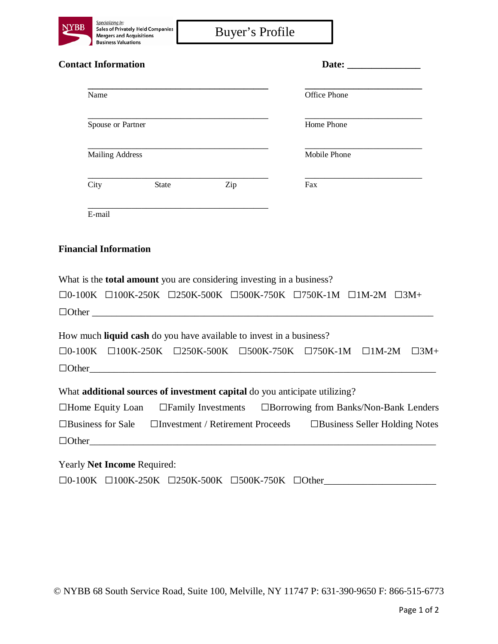| Y BB |   |
|------|---|
|      |   |
|      | B |

| <b>Contact Information</b> |              |     | Date:        |  |
|----------------------------|--------------|-----|--------------|--|
| Name                       |              |     | Office Phone |  |
| Spouse or Partner          |              |     | Home Phone   |  |
| Mailing Address            |              |     | Mobile Phone |  |
| City                       | <b>State</b> | Zip | Fax          |  |
| E-mail                     |              |     |              |  |

## **Financial Information**

What is the **total amount** you are considering investing in a business?

|              | $\Box$ 0-100K $\Box$ 100K-250K $\Box$ 250K-500K $\Box$ 500K-750K $\Box$ 750K-1M $\Box$ 1M-2M $\Box$ 3M+ |  |  |  |
|--------------|---------------------------------------------------------------------------------------------------------|--|--|--|
| $\Box$ Other |                                                                                                         |  |  |  |

How much **liquid cash** do you have available to invest in a business?

|                          |                         | $\Box$ 0-100K $\Box$ 100K-250K $\Box$ 250K-500K $\Box$ 500K-750K $\Box$ 750K-1M $\Box$ 1M-2M $\Box$ 3M+ |  |                                      |  |
|--------------------------|-------------------------|---------------------------------------------------------------------------------------------------------|--|--------------------------------------|--|
|                          |                         | $\Box$ Other                                                                                            |  |                                      |  |
|                          |                         | What <b>additional sources of investment capital</b> do you anticipate utilizing?                       |  |                                      |  |
|                          | $\Box$ Home Equity Loan | $\Box$ Family Investments $\Box$ Borrowing from Banks/Non-Bank Lenders                                  |  |                                      |  |
| $\Box$ Business for Sale |                         | $\Box$ Investment / Retirement Proceeds                                                                 |  | $\Box$ Business Seller Holding Notes |  |
|                          |                         | $\Box$ Other                                                                                            |  |                                      |  |
|                          |                         |                                                                                                         |  |                                      |  |

Yearly **Net Income** Required: □0-100K □100K-250K □250K-500K □500K-750K □Other

© NYBB 68 South Service Road, Suite 100, Melville, NY 11747 P: 631‐390‐9650 F: 866‐515‐6773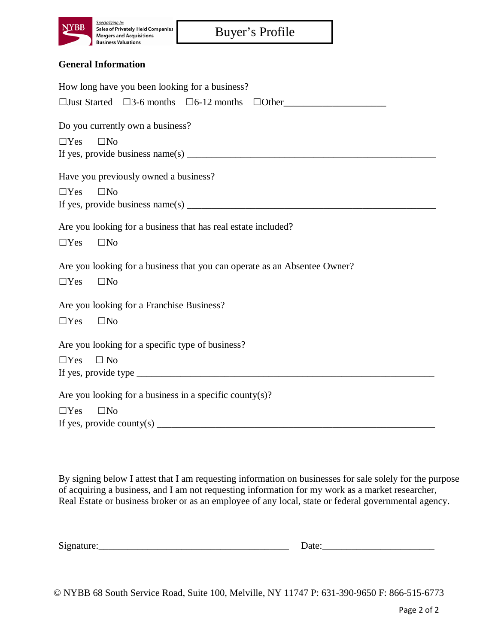

## **General Information**

| How long have you been looking for a business?                                                                                                                                                                                                                                        |  |  |  |  |
|---------------------------------------------------------------------------------------------------------------------------------------------------------------------------------------------------------------------------------------------------------------------------------------|--|--|--|--|
| $\Box$ Just Started $\Box$ 3-6 months $\Box$ 6-12 months $\Box$ Other                                                                                                                                                                                                                 |  |  |  |  |
| Do you currently own a business?                                                                                                                                                                                                                                                      |  |  |  |  |
|                                                                                                                                                                                                                                                                                       |  |  |  |  |
| $\square$ No<br>$\Box$ Yes                                                                                                                                                                                                                                                            |  |  |  |  |
|                                                                                                                                                                                                                                                                                       |  |  |  |  |
| Have you previously owned a business?                                                                                                                                                                                                                                                 |  |  |  |  |
| $\square$ No<br>$\Box$ Yes                                                                                                                                                                                                                                                            |  |  |  |  |
|                                                                                                                                                                                                                                                                                       |  |  |  |  |
|                                                                                                                                                                                                                                                                                       |  |  |  |  |
| Are you looking for a business that has real estate included?                                                                                                                                                                                                                         |  |  |  |  |
| $\Box$ Yes<br>$\Box$ No                                                                                                                                                                                                                                                               |  |  |  |  |
|                                                                                                                                                                                                                                                                                       |  |  |  |  |
| Are you looking for a business that you can operate as an Absentee Owner?                                                                                                                                                                                                             |  |  |  |  |
| $\Box$ Yes<br>$\square$ No                                                                                                                                                                                                                                                            |  |  |  |  |
|                                                                                                                                                                                                                                                                                       |  |  |  |  |
| Are you looking for a Franchise Business?                                                                                                                                                                                                                                             |  |  |  |  |
| $\Box$ Yes<br>$\square$ No                                                                                                                                                                                                                                                            |  |  |  |  |
|                                                                                                                                                                                                                                                                                       |  |  |  |  |
| Are you looking for a specific type of business?                                                                                                                                                                                                                                      |  |  |  |  |
| $\Box$ Yes<br>$\Box$ No                                                                                                                                                                                                                                                               |  |  |  |  |
|                                                                                                                                                                                                                                                                                       |  |  |  |  |
|                                                                                                                                                                                                                                                                                       |  |  |  |  |
| Are you looking for a business in a specific county(s)?                                                                                                                                                                                                                               |  |  |  |  |
| $\square$ No<br>$\Box$ Yes                                                                                                                                                                                                                                                            |  |  |  |  |
| If yes, provide county(s) $\frac{1}{2}$ and $\frac{1}{2}$ and $\frac{1}{2}$ and $\frac{1}{2}$ and $\frac{1}{2}$ and $\frac{1}{2}$ and $\frac{1}{2}$ and $\frac{1}{2}$ and $\frac{1}{2}$ and $\frac{1}{2}$ and $\frac{1}{2}$ and $\frac{1}{2}$ and $\frac{1}{2}$ and $\frac{1}{2}$ and |  |  |  |  |

By signing below I attest that I am requesting information on businesses for sale solely for the purpose of acquiring a business, and I am not requesting information for my work as a market researcher, Real Estate or business broker or as an employee of any local, state or federal governmental agency.

 $Signature:$  Date:

© NYBB 68 South Service Road, Suite 100, Melville, NY 11747 P: 631‐390‐9650 F: 866‐515‐6773